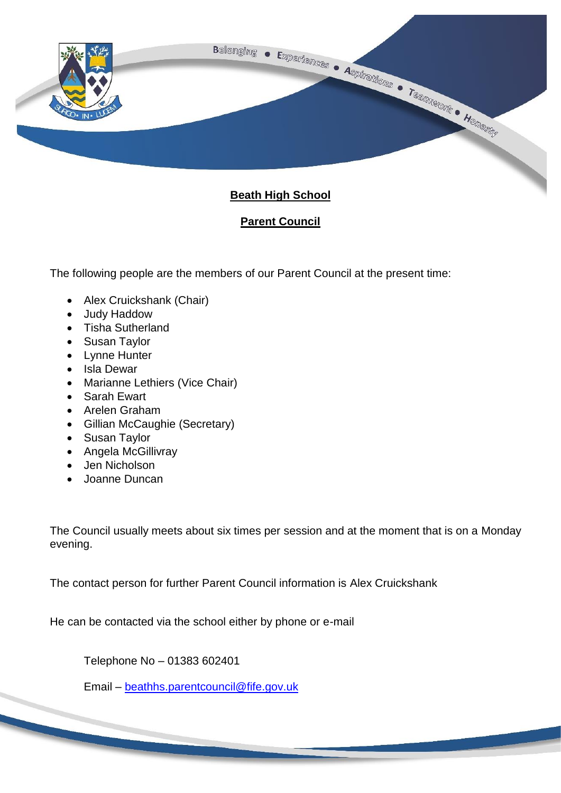

# **Beath High School**

## **Parent Council**

The following people are the members of our Parent Council at the present time:

- Alex Cruickshank (Chair)
- Judy Haddow
- Tisha Sutherland
- Susan Taylor
- Lynne Hunter
- Isla Dewar
- Marianne Lethiers (Vice Chair)
- Sarah Ewart
- Arelen Graham
- Gillian McCaughie (Secretary)
- Susan Taylor
- Angela McGillivray
- Jen Nicholson
- Joanne Duncan

The Council usually meets about six times per session and at the moment that is on a Monday evening.

The contact person for further Parent Council information is Alex Cruickshank

He can be contacted via the school either by phone or e-mail

Telephone No – 01383 602401

Email – [beathhs.parentcouncil@fife.gov.uk](mailto:beathhs.parentcouncil@fife.gov.uk)